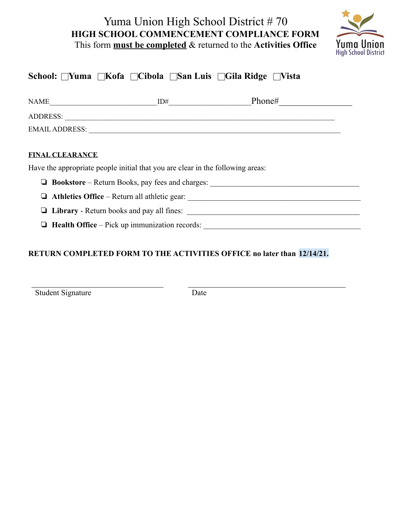# Yuma Union High School District # 70 **HIGH SCHOOL COMMENCEMENT COMPLIANCE FORM** This form **must be completed** & returned to the **Activities Office**



| School: ∏Yuma ∏Kofa ∏Cibola ∏San Luis ∏Gila Ridge ∏Vista |                                                                                |                                                                                  |  |
|----------------------------------------------------------|--------------------------------------------------------------------------------|----------------------------------------------------------------------------------|--|
|                                                          | $NAME$ $ID#$                                                                   |                                                                                  |  |
|                                                          |                                                                                |                                                                                  |  |
|                                                          |                                                                                |                                                                                  |  |
|                                                          |                                                                                |                                                                                  |  |
| <b>FINAL CLEARANCE</b>                                   |                                                                                |                                                                                  |  |
|                                                          | Have the appropriate people initial that you are clear in the following areas: |                                                                                  |  |
|                                                          |                                                                                | □ Bookstore – Return Books, pay fees and charges:                                |  |
|                                                          |                                                                                | Athletics Office – Return all athletic gear: ___________________________________ |  |
|                                                          |                                                                                |                                                                                  |  |
|                                                          |                                                                                | Health Office – Pick up immunization records:                                    |  |

## **RETURN COMPLETED FORM TO THE ACTIVITIES OFFICE no later than 12/14/21.**

Student Signature Date